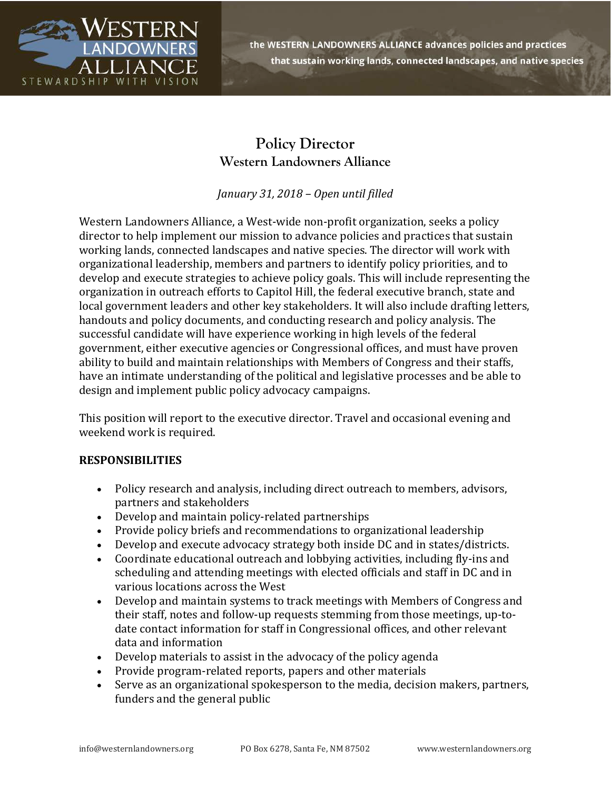

the WESTERN LANDOWNERS ALLIANCE advances policies and practices that sustain working lands, connected landscapes, and native species

## **Policy Director Western Landowners Alliance**

*January 31, 2018 – Open until filled*

Western Landowners Alliance, a West-wide non-profit organization, seeks a policy director to help implement our mission to advance policies and practices that sustain working lands, connected landscapes and native species. The director will work with organizational leadership, members and partners to identify policy priorities, and to develop and execute strategies to achieve policy goals. This will include representing the organization in outreach efforts to Capitol Hill, the federal executive branch, state and local government leaders and other key stakeholders. It will also include drafting letters, handouts and policy documents, and conducting research and policy analysis. The successful candidate will have experience working in high levels of the federal government, either executive agencies or Congressional offices, and must have proven ability to build and maintain relationships with Members of Congress and their staffs, have an intimate understanding of the political and legislative processes and be able to design and implement public policy advocacy campaigns.

This position will report to the executive director. Travel and occasional evening and weekend work is required.

## **RESPONSIBILITIES**

- Policy research and analysis, including direct outreach to members, advisors, partners and stakeholders
- Develop and maintain policy-related partnerships
- Provide policy briefs and recommendations to organizational leadership
- Develop and execute advocacy strategy both inside DC and in states/districts.
- Coordinate educational outreach and lobbying activities, including fly-ins and scheduling and attending meetings with elected officials and staff in DC and in various locations across the West
- Develop and maintain systems to track meetings with Members of Congress and their staff, notes and follow-up requests stemming from those meetings, up-todate contact information for staff in Congressional offices, and other relevant data and information
- Develop materials to assist in the advocacy of the policy agenda
- Provide program-related reports, papers and other materials
- Serve as an organizational spokesperson to the media, decision makers, partners, funders and the general public